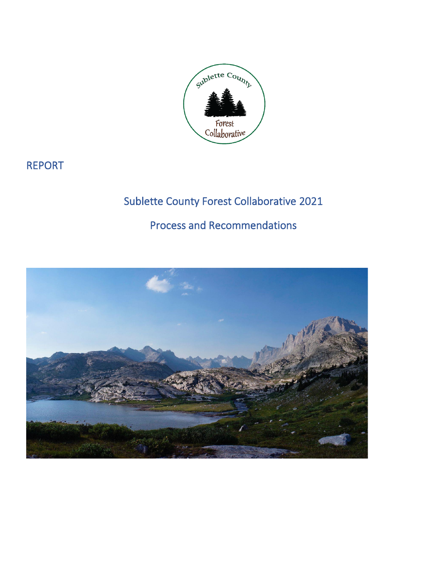

# REPORT

# Sublette County Forest Collaborative 2021

# Process and Recommendations

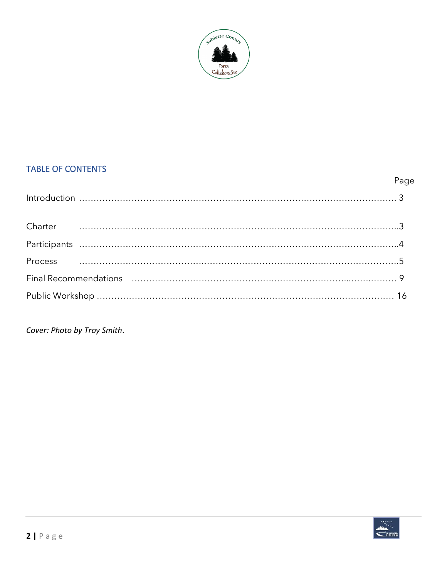

#### TABLE OF CONTENTS

|                                                                                                                | Page |
|----------------------------------------------------------------------------------------------------------------|------|
|                                                                                                                |      |
|                                                                                                                |      |
|                                                                                                                |      |
|                                                                                                                |      |
|                                                                                                                |      |
| Final Recommendations (and according to the community of the community of the set of the set of the set of the |      |
|                                                                                                                |      |

*Cover: Photo by Troy Smith*.

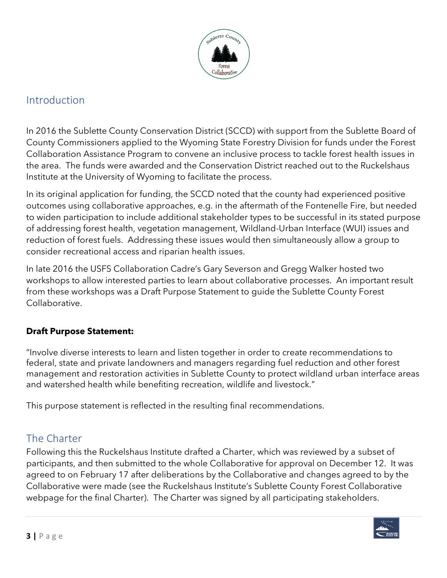

#### Introduction

In 2016 the Sublette County Conservation District (SCCD) with support from the Sublette Board of County Commissioners applied to the Wyoming State Forestry Division for funds under the Forest Collaboration Assistance Program to convene an inclusive process to tackle forest health issues in the area. The funds were awarded and the Conservation District reached out to the Ruckelshaus Institute at the University of Wyoming to facilitate the process.

In its original application for funding, the SCCD noted that the county had experienced positive outcomes using collaborative approaches, e.g. in the aftermath of the Fontenelle Fire, but needed to widen participation to include additional stakeholder types to be successful in its stated purpose of addressing forest health, vegetation management, Wildland-Urban Interface (WUI) issues and reduction of forest fuels. Addressing these issues would then simultaneously allow a group to consider recreational access and riparian health issues.

In late 2016 the USFS Collaboration Cadre's Gary Severson and Gregg Walker hosted two workshops to allow interested parties to learn about collaborative processes. An important result from these workshops was a Draft Purpose Statement to guide the Sublette County Forest Collaborative.

#### **Draft Purpose Statement:**

"Involve diverse interests to learn and listen together in order to create recommendations to federal, state and private landowners and managers regarding fuel reduction and other forest management and restoration activities in Sublette County to protect wildland urban interface areas and watershed health while benefiting recreation, wildlife and livestock."

This purpose statement is reflected in the resulting final recommendations.

## The Charter

Following this the Ruckelshaus Institute drafted a Charter, which was reviewed by a subset of participants, and then submitted to the whole Collaborative for approval on December 12. It was agreed to on February 17 after deliberations by the Collaborative and changes agreed to by the Collaborative were made (see the Ruckelshaus Institute's Sublette County Forest Collaborative webpage for the final Charter). The Charter was signed by all participating stakeholders.

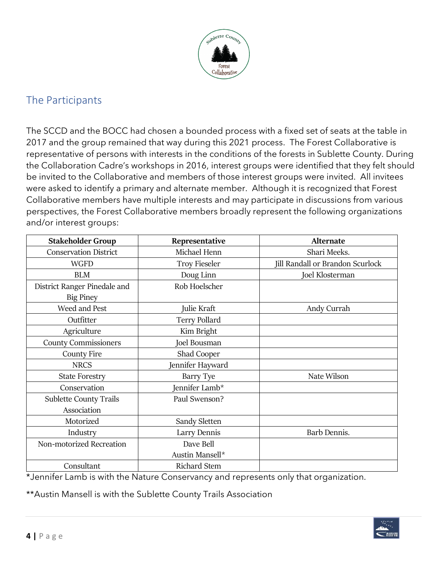

# The Participants

The SCCD and the BOCC had chosen a bounded process with a fixed set of seats at the table in 2017 and the group remained that way during this 2021 process. The Forest Collaborative is representative of persons with interests in the conditions of the forests in Sublette County. During the Collaboration Cadre's workshops in 2016, interest groups were identified that they felt should be invited to the Collaborative and members of those interest groups were invited. All invitees were asked to identify a primary and alternate member. Although it is recognized that Forest Collaborative members have multiple interests and may participate in discussions from various perspectives, the Forest Collaborative members broadly represent the following organizations and/or interest groups:

| <b>Stakeholder Group</b><br>Representative   |                      | <b>Alternate</b>                 |  |
|----------------------------------------------|----------------------|----------------------------------|--|
| <b>Conservation District</b><br>Michael Henn |                      | Shari Meeks.                     |  |
| <b>WGFD</b>                                  | <b>Troy Fieseler</b> | Jill Randall or Brandon Scurlock |  |
| <b>BLM</b>                                   | Doug Linn            | Joel Klosterman                  |  |
| District Ranger Pinedale and                 | Rob Hoelscher        |                                  |  |
| <b>Big Piney</b>                             |                      |                                  |  |
| Weed and Pest                                | Julie Kraft          | Andy Currah                      |  |
| Outfitter                                    | <b>Terry Pollard</b> |                                  |  |
| Agriculture                                  | Kim Bright           |                                  |  |
| <b>County Commissioners</b>                  | Joel Bousman         |                                  |  |
| <b>County Fire</b>                           | Shad Cooper          |                                  |  |
| <b>NRCS</b>                                  | Jennifer Hayward     |                                  |  |
| <b>State Forestry</b>                        | Barry Tye            | Nate Wilson                      |  |
| Conservation                                 | Jennifer Lamb*       |                                  |  |
| <b>Sublette County Trails</b>                | Paul Swenson?        |                                  |  |
| Association                                  |                      |                                  |  |
| Motorized                                    | Sandy Sletten        |                                  |  |
| Industry<br>Larry Dennis                     |                      | Barb Dennis.                     |  |
| Non-motorized Recreation                     | Dave Bell            |                                  |  |
|                                              | Austin Mansell*      |                                  |  |
| Consultant                                   | <b>Richard Stem</b>  |                                  |  |

\*Jennifer Lamb is with the Nature Conservancy and represents only that organization.

\*\*Austin Mansell is with the Sublette County Trails Association

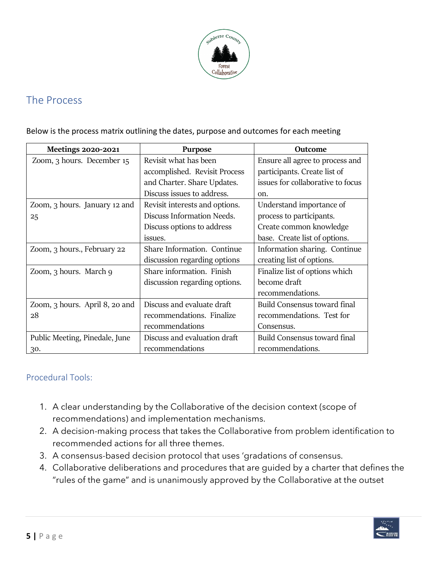

### The Process

Below is the process matrix outlining the dates, purpose and outcomes for each meeting

| <b>Meetings 2020-2021</b>      | <b>Purpose</b>                 | Outcome                           |
|--------------------------------|--------------------------------|-----------------------------------|
| Zoom, 3 hours. December 15     | Revisit what has been          | Ensure all agree to process and   |
|                                | accomplished. Revisit Process  | participants. Create list of      |
|                                | and Charter. Share Updates.    | issues for collaborative to focus |
|                                | Discuss issues to address.     | on.                               |
| Zoom, 3 hours. January 12 and  | Revisit interests and options. | Understand importance of          |
| 25                             | Discuss Information Needs.     | process to participants.          |
|                                | Discuss options to address     | Create common knowledge           |
|                                | issues.                        | base. Create list of options.     |
| Zoom, 3 hours., February 22    | Share Information. Continue    | Information sharing. Continue     |
|                                | discussion regarding options   | creating list of options.         |
| Zoom, 3 hours. March 9         | Share information. Finish      | Finalize list of options which    |
|                                | discussion regarding options.  | become draft                      |
|                                |                                | recommendations.                  |
| Zoom, 3 hours. April 8, 20 and | Discuss and evaluate draft     | Build Consensus toward final      |
| 28                             | recommendations. Finalize      | recommendations. Test for         |
|                                | recommendations                | Consensus.                        |
| Public Meeting, Pinedale, June | Discuss and evaluation draft   | Build Consensus toward final      |
| 30.                            | recommendations                | recommendations.                  |

#### Procedural Tools:

- 1. A clear understanding by the Collaborative of the decision context (scope of recommendations) and implementation mechanisms.
- 2. A decision-making process that takes the Collaborative from problem identification to recommended actions for all three themes.
- 3. A consensus-based decision protocol that uses 'gradations of consensus.
- 4. Collaborative deliberations and procedures that are guided by a charter that defines the "rules of the game" and is unanimously approved by the Collaborative at the outset

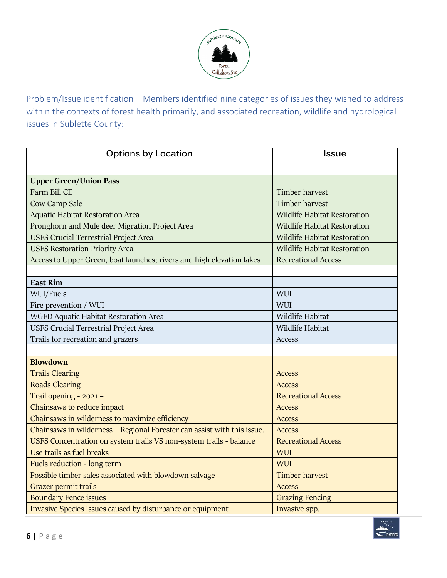

Problem/Issue identification – Members identified nine categories of issues they wished to address within the contexts of forest health primarily, and associated recreation, wildlife and hydrological issues in Sublette County:

| <b>Options by Location</b>                                              | <b>Issue</b>                        |
|-------------------------------------------------------------------------|-------------------------------------|
|                                                                         |                                     |
| <b>Upper Green/Union Pass</b>                                           |                                     |
| Farm Bill CE                                                            | Timber harvest                      |
| Cow Camp Sale                                                           | <b>Timber harvest</b>               |
| <b>Aquatic Habitat Restoration Area</b>                                 | <b>Wildlife Habitat Restoration</b> |
| Pronghorn and Mule deer Migration Project Area                          | <b>Wildlife Habitat Restoration</b> |
| <b>USFS Crucial Terrestrial Project Area</b>                            | <b>Wildlife Habitat Restoration</b> |
| <b>USFS Restoration Priority Area</b>                                   | <b>Wildlife Habitat Restoration</b> |
| Access to Upper Green, boat launches; rivers and high elevation lakes   | <b>Recreational Access</b>          |
|                                                                         |                                     |
| <b>East Rim</b>                                                         |                                     |
| WUI/Fuels                                                               | WUI                                 |
| Fire prevention / WUI                                                   | WUI                                 |
| WGFD Aquatic Habitat Restoration Area                                   | Wildlife Habitat                    |
| USFS Crucial Terrestrial Project Area                                   | Wildlife Habitat                    |
| Trails for recreation and grazers                                       | Access                              |
|                                                                         |                                     |
| <b>Blowdown</b>                                                         |                                     |
| <b>Trails Clearing</b>                                                  | <b>Access</b>                       |
| <b>Roads Clearing</b>                                                   | <b>Access</b>                       |
| Trail opening - 2021 -                                                  | <b>Recreational Access</b>          |
| Chainsaws to reduce impact                                              | <b>Access</b>                       |
| Chainsaws in wilderness to maximize efficiency                          | <b>Access</b>                       |
| Chainsaws in wilderness - Regional Forester can assist with this issue. | <b>Access</b>                       |
| USFS Concentration on system trails VS non-system trails - balance      | <b>Recreational Access</b>          |
| Use trails as fuel breaks                                               | WUI                                 |
| Fuels reduction - long term                                             | <b>WUI</b>                          |
| Possible timber sales associated with blowdown salvage                  | <b>Timber harvest</b>               |
| Grazer permit trails                                                    | <b>Access</b>                       |
| <b>Boundary Fence issues</b>                                            | <b>Grazing Fencing</b>              |
| Invasive Species Issues caused by disturbance or equipment              | Invasive spp.                       |

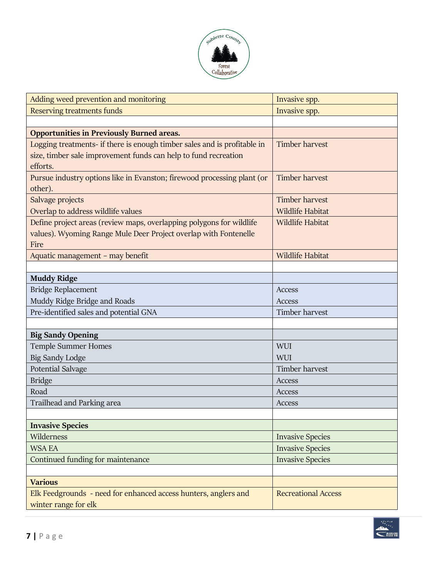

| Adding weed prevention and monitoring                                                                                                                   | Invasive spp.              |
|---------------------------------------------------------------------------------------------------------------------------------------------------------|----------------------------|
| Reserving treatments funds                                                                                                                              | Invasive spp.              |
|                                                                                                                                                         |                            |
| <b>Opportunities in Previously Burned areas.</b>                                                                                                        |                            |
| Logging treatments- if there is enough timber sales and is profitable in<br>size, timber sale improvement funds can help to fund recreation<br>efforts. | <b>Timber harvest</b>      |
| Pursue industry options like in Evanston; firewood processing plant (or<br>other).                                                                      | <b>Timber harvest</b>      |
| Salvage projects                                                                                                                                        | <b>Timber harvest</b>      |
| Overlap to address wildlife values                                                                                                                      | <b>Wildlife Habitat</b>    |
| Define project areas (review maps, overlapping polygons for wildlife<br>values). Wyoming Range Mule Deer Project overlap with Fontenelle<br>Fire        | <b>Wildlife Habitat</b>    |
| Aquatic management - may benefit                                                                                                                        | <b>Wildlife Habitat</b>    |
|                                                                                                                                                         |                            |
| <b>Muddy Ridge</b>                                                                                                                                      |                            |
| Bridge Replacement                                                                                                                                      | Access                     |
| Muddy Ridge Bridge and Roads                                                                                                                            | <b>Access</b>              |
| Pre-identified sales and potential GNA                                                                                                                  | Timber harvest             |
|                                                                                                                                                         |                            |
| <b>Big Sandy Opening</b>                                                                                                                                |                            |
| <b>Temple Summer Homes</b>                                                                                                                              | WUI                        |
| <b>Big Sandy Lodge</b>                                                                                                                                  | WUI                        |
| <b>Potential Salvage</b>                                                                                                                                | Timber harvest             |
| <b>Bridge</b>                                                                                                                                           | Access                     |
| Road                                                                                                                                                    | Access                     |
| Trailhead and Parking area                                                                                                                              | Access                     |
|                                                                                                                                                         |                            |
| <b>Invasive Species</b>                                                                                                                                 |                            |
| Wilderness                                                                                                                                              | <b>Invasive Species</b>    |
| <b>WSA EA</b>                                                                                                                                           | <b>Invasive Species</b>    |
| Continued funding for maintenance                                                                                                                       | <b>Invasive Species</b>    |
|                                                                                                                                                         |                            |
| <b>Various</b>                                                                                                                                          |                            |
| Elk Feedgrounds - need for enhanced access hunters, anglers and<br>winter range for elk                                                                 | <b>Recreational Access</b> |

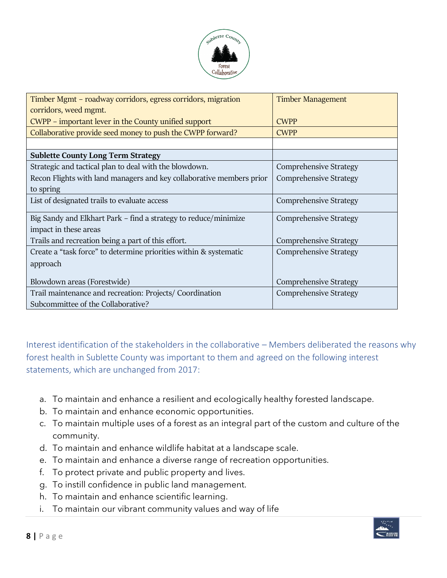

| Timber Mgmt – roadway corridors, egress corridors, migration<br>corridors, weed mgmt. | <b>Timber Management</b>      |
|---------------------------------------------------------------------------------------|-------------------------------|
| CWPP – important lever in the County unified support                                  | <b>CWPP</b>                   |
| Collaborative provide seed money to push the CWPP forward?                            | <b>CWPP</b>                   |
|                                                                                       |                               |
| <b>Sublette County Long Term Strategy</b>                                             |                               |
| Strategic and tactical plan to deal with the blowdown.                                | <b>Comprehensive Strategy</b> |
| Recon Flights with land managers and key collaborative members prior                  | <b>Comprehensive Strategy</b> |
| to spring                                                                             |                               |
| List of designated trails to evaluate access                                          | <b>Comprehensive Strategy</b> |
| Big Sandy and Elkhart Park – find a strategy to reduce/minimize                       | <b>Comprehensive Strategy</b> |
| impact in these areas                                                                 |                               |
| Trails and recreation being a part of this effort.                                    | <b>Comprehensive Strategy</b> |
| Create a "task force" to determine priorities within & systematic                     | <b>Comprehensive Strategy</b> |
| approach                                                                              |                               |
| Blowdown areas (Forestwide)                                                           | <b>Comprehensive Strategy</b> |
| Trail maintenance and recreation: Projects/ Coordination                              | <b>Comprehensive Strategy</b> |
| Subcommittee of the Collaborative?                                                    |                               |

Interest identification of the stakeholders in the collaborative – Members deliberated the reasons why forest health in Sublette County was important to them and agreed on the following interest statements, which are unchanged from 2017:

- a. To maintain and enhance a resilient and ecologically healthy forested landscape.
- b. To maintain and enhance economic opportunities.
- c. To maintain multiple uses of a forest as an integral part of the custom and culture of the community.
- d. To maintain and enhance wildlife habitat at a landscape scale.
- e. To maintain and enhance a diverse range of recreation opportunities.
- f. To protect private and public property and lives.
- g. To instill confidence in public land management.
- h. To maintain and enhance scientific learning.
- i. To maintain our vibrant community values and way of life

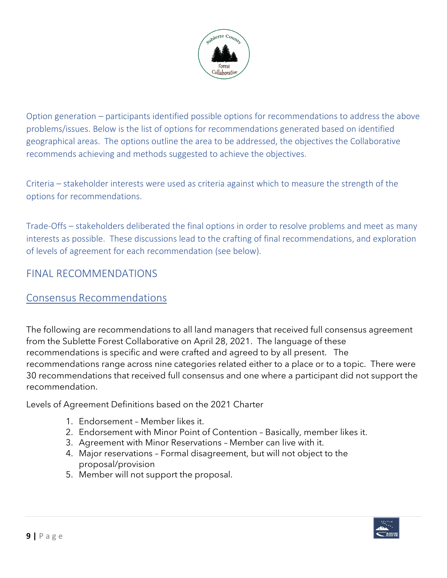

Option generation – participants identified possible options for recommendations to address the above problems/issues. Below is the list of options for recommendations generated based on identified geographical areas. The options outline the area to be addressed, the objectives the Collaborative recommends achieving and methods suggested to achieve the objectives.

Criteria – stakeholder interests were used as criteria against which to measure the strength of the options for recommendations.

Trade-Offs – stakeholders deliberated the final options in order to resolve problems and meet as many interests as possible. These discussions lead to the crafting of final recommendations, and exploration of levels of agreement for each recommendation (see below).

### FINAL RECOMMENDATIONS

#### Consensus Recommendations

The following are recommendations to all land managers that received full consensus agreement from the Sublette Forest Collaborative on April 28, 2021. The language of these recommendations is specific and were crafted and agreed to by all present. The recommendations range across nine categories related either to a place or to a topic. There were 30 recommendations that received full consensus and one where a participant did not support the recommendation.

Levels of Agreement Definitions based on the 2021 Charter

- 1. Endorsement Member likes it.
- 2. Endorsement with Minor Point of Contention Basically, member likes it.
- 3. Agreement with Minor Reservations Member can live with it.
- 4. Major reservations Formal disagreement, but will not object to the proposal/provision
- 5. Member will not support the proposal.

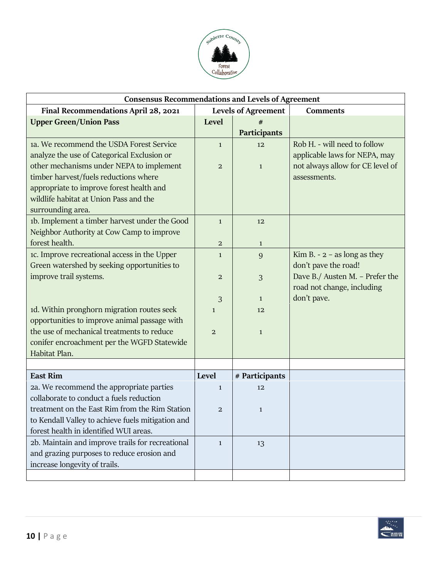

| <b>Consensus Recommendations and Levels of Agreement</b> |                            |                |                                  |  |
|----------------------------------------------------------|----------------------------|----------------|----------------------------------|--|
| Final Recommendations April 28, 2021                     | <b>Levels of Agreement</b> |                | <b>Comments</b>                  |  |
| <b>Upper Green/Union Pass</b>                            | Level                      |                |                                  |  |
|                                                          |                            | Participants   |                                  |  |
| 1a. We recommend the USDA Forest Service                 | $\mathbf{1}$               | 12             | Rob H. - will need to follow     |  |
| analyze the use of Categorical Exclusion or              |                            |                | applicable laws for NEPA, may    |  |
| other mechanisms under NEPA to implement                 | $\overline{a}$             | $\mathbf{1}$   | not always allow for CE level of |  |
| timber harvest/fuels reductions where                    |                            |                | assessments.                     |  |
| appropriate to improve forest health and                 |                            |                |                                  |  |
| wildlife habitat at Union Pass and the                   |                            |                |                                  |  |
| surrounding area.                                        |                            |                |                                  |  |
| 1b. Implement a timber harvest under the Good            | $\mathbf{1}$               | 12             |                                  |  |
| Neighbor Authority at Cow Camp to improve                |                            |                |                                  |  |
| forest health.                                           | $\overline{a}$             | $\mathbf{1}$   |                                  |  |
| 1c. Improve recreational access in the Upper             | $\mathbf{1}$               | 9              | Kim B. - $2$ – as long as they   |  |
| Green watershed by seeking opportunities to              |                            |                | don't pave the road!             |  |
| improve trail systems.                                   | $\overline{a}$             | 3              | Dave B./ Austen M. - Prefer the  |  |
|                                                          |                            |                | road not change, including       |  |
|                                                          | 3                          | $\mathbf{1}$   | don't pave.                      |  |
| 1d. Within pronghorn migration routes seek               | $\mathbf{1}$               | 12             |                                  |  |
| opportunities to improve animal passage with             |                            |                |                                  |  |
| the use of mechanical treatments to reduce               | $\overline{2}$             | $\mathbf{1}$   |                                  |  |
| conifer encroachment per the WGFD Statewide              |                            |                |                                  |  |
| Habitat Plan.                                            |                            |                |                                  |  |
|                                                          |                            |                |                                  |  |
| <b>East Rim</b>                                          | Level                      | # Participants |                                  |  |
| 2a. We recommend the appropriate parties                 | $\mathbf{1}$               | 12             |                                  |  |
| collaborate to conduct a fuels reduction                 |                            |                |                                  |  |
| treatment on the East Rim from the Rim Station           | $\mathbf{2}$               | $\mathbf{1}$   |                                  |  |
| to Kendall Valley to achieve fuels mitigation and        |                            |                |                                  |  |
| forest health in identified WUI areas.                   |                            |                |                                  |  |
| 2b. Maintain and improve trails for recreational         | $\mathbf{1}$               | 13             |                                  |  |
| and grazing purposes to reduce erosion and               |                            |                |                                  |  |
| increase longevity of trails.                            |                            |                |                                  |  |
|                                                          |                            |                |                                  |  |

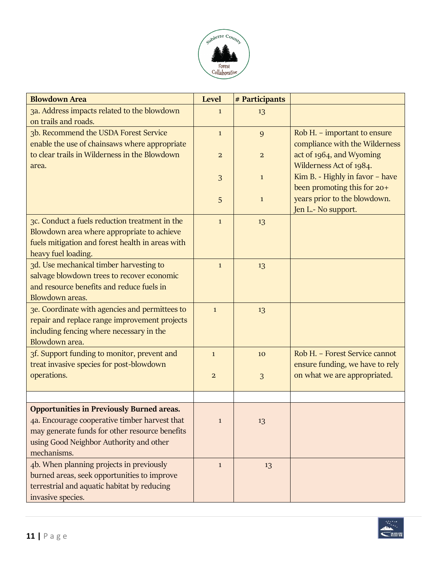

| <b>Blowdown Area</b>                                                | <b>Level</b>   | # Participants |                                                             |
|---------------------------------------------------------------------|----------------|----------------|-------------------------------------------------------------|
| 3a. Address impacts related to the blowdown<br>on trails and roads. | $\mathbf{1}$   | 13             |                                                             |
| 3b. Recommend the USDA Forest Service                               | $\mathbf{1}$   | 9              | Rob H. - important to ensure                                |
| enable the use of chainsaws where appropriate                       |                |                | compliance with the Wilderness                              |
| to clear trails in Wilderness in the Blowdown                       | $\overline{a}$ | $\overline{a}$ | act of 1964, and Wyoming                                    |
| area.                                                               |                |                | Wilderness Act of 1984.                                     |
|                                                                     | 3              | $\mathbf{1}$   | Kim B. - Highly in favor - have                             |
|                                                                     |                |                | been promoting this for 20+<br>years prior to the blowdown. |
|                                                                     | 5              | $\mathbf{1}$   | Jen L.- No support.                                         |
| 3c. Conduct a fuels reduction treatment in the                      | $\mathbf{1}$   | 13             |                                                             |
| Blowdown area where appropriate to achieve                          |                |                |                                                             |
| fuels mitigation and forest health in areas with                    |                |                |                                                             |
| heavy fuel loading.                                                 |                |                |                                                             |
| 3d. Use mechanical timber harvesting to                             | $\mathbf{1}$   | 13             |                                                             |
| salvage blowdown trees to recover economic                          |                |                |                                                             |
| and resource benefits and reduce fuels in                           |                |                |                                                             |
| Blowdown areas.                                                     |                |                |                                                             |
| 3e. Coordinate with agencies and permittees to                      | $\mathbf{1}$   | 13             |                                                             |
| repair and replace range improvement projects                       |                |                |                                                             |
| including fencing where necessary in the<br>Blowdown area.          |                |                |                                                             |
| 3f. Support funding to monitor, prevent and                         | $\mathbf{1}$   | 10             | Rob H. - Forest Service cannot                              |
| treat invasive species for post-blowdown                            |                |                | ensure funding, we have to rely                             |
| operations.                                                         | $\overline{2}$ | 3              | on what we are appropriated.                                |
|                                                                     |                |                |                                                             |
|                                                                     |                |                |                                                             |
| <b>Opportunities in Previously Burned areas.</b>                    |                |                |                                                             |
| 4a. Encourage cooperative timber harvest that                       | $\mathbf{1}$   | 13             |                                                             |
| may generate funds for other resource benefits                      |                |                |                                                             |
| using Good Neighbor Authority and other<br>mechanisms.              |                |                |                                                             |
| 4b. When planning projects in previously                            |                |                |                                                             |
| burned areas, seek opportunities to improve                         | $\mathbf{1}$   | 13             |                                                             |
| terrestrial and aquatic habitat by reducing                         |                |                |                                                             |
| invasive species.                                                   |                |                |                                                             |

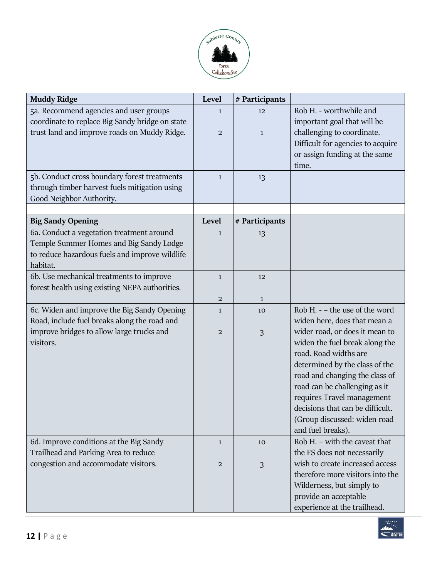

| 5a. Recommend agencies and user groups<br>Rob H. - worthwhile and<br>12<br>$\mathbf{1}$<br>coordinate to replace Big Sandy bridge on state<br>important goal that will be<br>trust land and improve roads on Muddy Ridge.<br>challenging to coordinate.<br>$\mathbf{2}$<br>$\mathbf{1}$<br>Difficult for agencies to acquire<br>or assign funding at the same<br>time.<br>5b. Conduct cross boundary forest treatments<br>$\mathbf{1}$<br>13<br>through timber harvest fuels mitigation using<br>Good Neighbor Authority.<br>Level<br># Participants<br><b>Big Sandy Opening</b><br>6a. Conduct a vegetation treatment around<br>13<br>$\mathbf{1}$<br>Temple Summer Homes and Big Sandy Lodge<br>to reduce hazardous fuels and improve wildlife<br>habitat.<br>6b. Use mechanical treatments to improve<br>$\mathbf{1}$<br>12<br>forest health using existing NEPA authorities.<br>$\overline{2}$<br>$\mathbf{1}$<br>Rob H. - - the use of the word<br>6c. Widen and improve the Big Sandy Opening<br>10<br>$\mathbf{1}$<br>Road, include fuel breaks along the road and<br>widen here, does that mean a<br>improve bridges to allow large trucks and<br>wider road, or does it mean to<br>$\mathbf{2}$<br>$\mathfrak{Z}$<br>visitors.<br>widen the fuel break along the<br>road. Road widths are<br>determined by the class of the<br>road and changing the class of<br>road can be challenging as it<br>requires Travel management<br>decisions that can be difficult.<br>(Group discussed: widen road<br>and fuel breaks).<br>Rob H. - with the caveat that<br>6d. Improve conditions at the Big Sandy<br>10<br>$\mathbf{1}$<br>Trailhead and Parking Area to reduce<br>the FS does not necessarily<br>congestion and accommodate visitors.<br>wish to create increased access<br>$\mathfrak{Z}$<br>2<br>therefore more visitors into the<br>Wilderness, but simply to<br>provide an acceptable | <b>Muddy Ridge</b> | Level | # Participants |  |
|-----------------------------------------------------------------------------------------------------------------------------------------------------------------------------------------------------------------------------------------------------------------------------------------------------------------------------------------------------------------------------------------------------------------------------------------------------------------------------------------------------------------------------------------------------------------------------------------------------------------------------------------------------------------------------------------------------------------------------------------------------------------------------------------------------------------------------------------------------------------------------------------------------------------------------------------------------------------------------------------------------------------------------------------------------------------------------------------------------------------------------------------------------------------------------------------------------------------------------------------------------------------------------------------------------------------------------------------------------------------------------------------------------------------------------------------------------------------------------------------------------------------------------------------------------------------------------------------------------------------------------------------------------------------------------------------------------------------------------------------------------------------------------------------------------------------------------------------------------------------------------------------------------|--------------------|-------|----------------|--|
|                                                                                                                                                                                                                                                                                                                                                                                                                                                                                                                                                                                                                                                                                                                                                                                                                                                                                                                                                                                                                                                                                                                                                                                                                                                                                                                                                                                                                                                                                                                                                                                                                                                                                                                                                                                                                                                                                                     |                    |       |                |  |
|                                                                                                                                                                                                                                                                                                                                                                                                                                                                                                                                                                                                                                                                                                                                                                                                                                                                                                                                                                                                                                                                                                                                                                                                                                                                                                                                                                                                                                                                                                                                                                                                                                                                                                                                                                                                                                                                                                     |                    |       |                |  |
|                                                                                                                                                                                                                                                                                                                                                                                                                                                                                                                                                                                                                                                                                                                                                                                                                                                                                                                                                                                                                                                                                                                                                                                                                                                                                                                                                                                                                                                                                                                                                                                                                                                                                                                                                                                                                                                                                                     |                    |       |                |  |
|                                                                                                                                                                                                                                                                                                                                                                                                                                                                                                                                                                                                                                                                                                                                                                                                                                                                                                                                                                                                                                                                                                                                                                                                                                                                                                                                                                                                                                                                                                                                                                                                                                                                                                                                                                                                                                                                                                     |                    |       |                |  |
|                                                                                                                                                                                                                                                                                                                                                                                                                                                                                                                                                                                                                                                                                                                                                                                                                                                                                                                                                                                                                                                                                                                                                                                                                                                                                                                                                                                                                                                                                                                                                                                                                                                                                                                                                                                                                                                                                                     |                    |       |                |  |
|                                                                                                                                                                                                                                                                                                                                                                                                                                                                                                                                                                                                                                                                                                                                                                                                                                                                                                                                                                                                                                                                                                                                                                                                                                                                                                                                                                                                                                                                                                                                                                                                                                                                                                                                                                                                                                                                                                     |                    |       |                |  |
|                                                                                                                                                                                                                                                                                                                                                                                                                                                                                                                                                                                                                                                                                                                                                                                                                                                                                                                                                                                                                                                                                                                                                                                                                                                                                                                                                                                                                                                                                                                                                                                                                                                                                                                                                                                                                                                                                                     |                    |       |                |  |
|                                                                                                                                                                                                                                                                                                                                                                                                                                                                                                                                                                                                                                                                                                                                                                                                                                                                                                                                                                                                                                                                                                                                                                                                                                                                                                                                                                                                                                                                                                                                                                                                                                                                                                                                                                                                                                                                                                     |                    |       |                |  |
|                                                                                                                                                                                                                                                                                                                                                                                                                                                                                                                                                                                                                                                                                                                                                                                                                                                                                                                                                                                                                                                                                                                                                                                                                                                                                                                                                                                                                                                                                                                                                                                                                                                                                                                                                                                                                                                                                                     |                    |       |                |  |
|                                                                                                                                                                                                                                                                                                                                                                                                                                                                                                                                                                                                                                                                                                                                                                                                                                                                                                                                                                                                                                                                                                                                                                                                                                                                                                                                                                                                                                                                                                                                                                                                                                                                                                                                                                                                                                                                                                     |                    |       |                |  |
|                                                                                                                                                                                                                                                                                                                                                                                                                                                                                                                                                                                                                                                                                                                                                                                                                                                                                                                                                                                                                                                                                                                                                                                                                                                                                                                                                                                                                                                                                                                                                                                                                                                                                                                                                                                                                                                                                                     |                    |       |                |  |
|                                                                                                                                                                                                                                                                                                                                                                                                                                                                                                                                                                                                                                                                                                                                                                                                                                                                                                                                                                                                                                                                                                                                                                                                                                                                                                                                                                                                                                                                                                                                                                                                                                                                                                                                                                                                                                                                                                     |                    |       |                |  |
|                                                                                                                                                                                                                                                                                                                                                                                                                                                                                                                                                                                                                                                                                                                                                                                                                                                                                                                                                                                                                                                                                                                                                                                                                                                                                                                                                                                                                                                                                                                                                                                                                                                                                                                                                                                                                                                                                                     |                    |       |                |  |
|                                                                                                                                                                                                                                                                                                                                                                                                                                                                                                                                                                                                                                                                                                                                                                                                                                                                                                                                                                                                                                                                                                                                                                                                                                                                                                                                                                                                                                                                                                                                                                                                                                                                                                                                                                                                                                                                                                     |                    |       |                |  |
|                                                                                                                                                                                                                                                                                                                                                                                                                                                                                                                                                                                                                                                                                                                                                                                                                                                                                                                                                                                                                                                                                                                                                                                                                                                                                                                                                                                                                                                                                                                                                                                                                                                                                                                                                                                                                                                                                                     |                    |       |                |  |
|                                                                                                                                                                                                                                                                                                                                                                                                                                                                                                                                                                                                                                                                                                                                                                                                                                                                                                                                                                                                                                                                                                                                                                                                                                                                                                                                                                                                                                                                                                                                                                                                                                                                                                                                                                                                                                                                                                     |                    |       |                |  |
|                                                                                                                                                                                                                                                                                                                                                                                                                                                                                                                                                                                                                                                                                                                                                                                                                                                                                                                                                                                                                                                                                                                                                                                                                                                                                                                                                                                                                                                                                                                                                                                                                                                                                                                                                                                                                                                                                                     |                    |       |                |  |
|                                                                                                                                                                                                                                                                                                                                                                                                                                                                                                                                                                                                                                                                                                                                                                                                                                                                                                                                                                                                                                                                                                                                                                                                                                                                                                                                                                                                                                                                                                                                                                                                                                                                                                                                                                                                                                                                                                     |                    |       |                |  |
|                                                                                                                                                                                                                                                                                                                                                                                                                                                                                                                                                                                                                                                                                                                                                                                                                                                                                                                                                                                                                                                                                                                                                                                                                                                                                                                                                                                                                                                                                                                                                                                                                                                                                                                                                                                                                                                                                                     |                    |       |                |  |
|                                                                                                                                                                                                                                                                                                                                                                                                                                                                                                                                                                                                                                                                                                                                                                                                                                                                                                                                                                                                                                                                                                                                                                                                                                                                                                                                                                                                                                                                                                                                                                                                                                                                                                                                                                                                                                                                                                     |                    |       |                |  |
|                                                                                                                                                                                                                                                                                                                                                                                                                                                                                                                                                                                                                                                                                                                                                                                                                                                                                                                                                                                                                                                                                                                                                                                                                                                                                                                                                                                                                                                                                                                                                                                                                                                                                                                                                                                                                                                                                                     |                    |       |                |  |
|                                                                                                                                                                                                                                                                                                                                                                                                                                                                                                                                                                                                                                                                                                                                                                                                                                                                                                                                                                                                                                                                                                                                                                                                                                                                                                                                                                                                                                                                                                                                                                                                                                                                                                                                                                                                                                                                                                     |                    |       |                |  |
|                                                                                                                                                                                                                                                                                                                                                                                                                                                                                                                                                                                                                                                                                                                                                                                                                                                                                                                                                                                                                                                                                                                                                                                                                                                                                                                                                                                                                                                                                                                                                                                                                                                                                                                                                                                                                                                                                                     |                    |       |                |  |
|                                                                                                                                                                                                                                                                                                                                                                                                                                                                                                                                                                                                                                                                                                                                                                                                                                                                                                                                                                                                                                                                                                                                                                                                                                                                                                                                                                                                                                                                                                                                                                                                                                                                                                                                                                                                                                                                                                     |                    |       |                |  |
|                                                                                                                                                                                                                                                                                                                                                                                                                                                                                                                                                                                                                                                                                                                                                                                                                                                                                                                                                                                                                                                                                                                                                                                                                                                                                                                                                                                                                                                                                                                                                                                                                                                                                                                                                                                                                                                                                                     |                    |       |                |  |
|                                                                                                                                                                                                                                                                                                                                                                                                                                                                                                                                                                                                                                                                                                                                                                                                                                                                                                                                                                                                                                                                                                                                                                                                                                                                                                                                                                                                                                                                                                                                                                                                                                                                                                                                                                                                                                                                                                     |                    |       |                |  |
|                                                                                                                                                                                                                                                                                                                                                                                                                                                                                                                                                                                                                                                                                                                                                                                                                                                                                                                                                                                                                                                                                                                                                                                                                                                                                                                                                                                                                                                                                                                                                                                                                                                                                                                                                                                                                                                                                                     |                    |       |                |  |
|                                                                                                                                                                                                                                                                                                                                                                                                                                                                                                                                                                                                                                                                                                                                                                                                                                                                                                                                                                                                                                                                                                                                                                                                                                                                                                                                                                                                                                                                                                                                                                                                                                                                                                                                                                                                                                                                                                     |                    |       |                |  |
|                                                                                                                                                                                                                                                                                                                                                                                                                                                                                                                                                                                                                                                                                                                                                                                                                                                                                                                                                                                                                                                                                                                                                                                                                                                                                                                                                                                                                                                                                                                                                                                                                                                                                                                                                                                                                                                                                                     |                    |       |                |  |
|                                                                                                                                                                                                                                                                                                                                                                                                                                                                                                                                                                                                                                                                                                                                                                                                                                                                                                                                                                                                                                                                                                                                                                                                                                                                                                                                                                                                                                                                                                                                                                                                                                                                                                                                                                                                                                                                                                     |                    |       |                |  |
|                                                                                                                                                                                                                                                                                                                                                                                                                                                                                                                                                                                                                                                                                                                                                                                                                                                                                                                                                                                                                                                                                                                                                                                                                                                                                                                                                                                                                                                                                                                                                                                                                                                                                                                                                                                                                                                                                                     |                    |       |                |  |
|                                                                                                                                                                                                                                                                                                                                                                                                                                                                                                                                                                                                                                                                                                                                                                                                                                                                                                                                                                                                                                                                                                                                                                                                                                                                                                                                                                                                                                                                                                                                                                                                                                                                                                                                                                                                                                                                                                     |                    |       |                |  |
|                                                                                                                                                                                                                                                                                                                                                                                                                                                                                                                                                                                                                                                                                                                                                                                                                                                                                                                                                                                                                                                                                                                                                                                                                                                                                                                                                                                                                                                                                                                                                                                                                                                                                                                                                                                                                                                                                                     |                    |       |                |  |
| experience at the trailhead.                                                                                                                                                                                                                                                                                                                                                                                                                                                                                                                                                                                                                                                                                                                                                                                                                                                                                                                                                                                                                                                                                                                                                                                                                                                                                                                                                                                                                                                                                                                                                                                                                                                                                                                                                                                                                                                                        |                    |       |                |  |

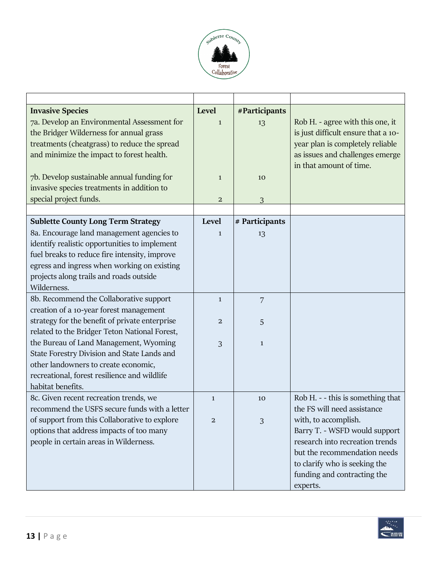

| <b>Invasive Species</b>                        | Level                   | #Participants  |                                     |
|------------------------------------------------|-------------------------|----------------|-------------------------------------|
| 7a. Develop an Environmental Assessment for    | $\mathbf{1}$            | 13             | Rob H. - agree with this one, it    |
| the Bridger Wilderness for annual grass        |                         |                | is just difficult ensure that a 10- |
| treatments (cheatgrass) to reduce the spread   |                         |                | year plan is completely reliable    |
| and minimize the impact to forest health.      |                         |                | as issues and challenges emerge     |
|                                                |                         |                | in that amount of time.             |
| 7b. Develop sustainable annual funding for     | $\mathbf{1}$            | 10             |                                     |
| invasive species treatments in addition to     |                         |                |                                     |
| special project funds.                         | $\overline{\mathbf{c}}$ | 3              |                                     |
|                                                |                         |                |                                     |
| <b>Sublette County Long Term Strategy</b>      | Level                   | # Participants |                                     |
| 8a. Encourage land management agencies to      | 1                       | 13             |                                     |
| identify realistic opportunities to implement  |                         |                |                                     |
| fuel breaks to reduce fire intensity, improve  |                         |                |                                     |
| egress and ingress when working on existing    |                         |                |                                     |
| projects along trails and roads outside        |                         |                |                                     |
| Wilderness.                                    |                         |                |                                     |
| 8b. Recommend the Collaborative support        | $\mathbf{1}$            | 7              |                                     |
| creation of a 10-year forest management        |                         |                |                                     |
| strategy for the benefit of private enterprise | $\overline{a}$          | 5              |                                     |
| related to the Bridger Teton National Forest,  |                         |                |                                     |
| the Bureau of Land Management, Wyoming         | 3                       | $\mathbf{1}$   |                                     |
| State Forestry Division and State Lands and    |                         |                |                                     |
| other landowners to create economic,           |                         |                |                                     |
| recreational, forest resilience and wildlife   |                         |                |                                     |
| habitat benefits.                              |                         |                |                                     |
| 8c. Given recent recreation trends, we         | $\mathbf{1}$            | 10             | Rob H. - - this is something that   |
| recommend the USFS secure funds with a letter  |                         |                | the FS will need assistance         |
| of support from this Collaborative to explore  | 2                       | 3              | with, to accomplish.                |
| options that address impacts of too many       |                         |                | Barry T. - WSFD would support       |
| people in certain areas in Wilderness.         |                         |                | research into recreation trends     |
|                                                |                         |                | but the recommendation needs        |
|                                                |                         |                | to clarify who is seeking the       |
|                                                |                         |                | funding and contracting the         |
|                                                |                         |                | experts.                            |

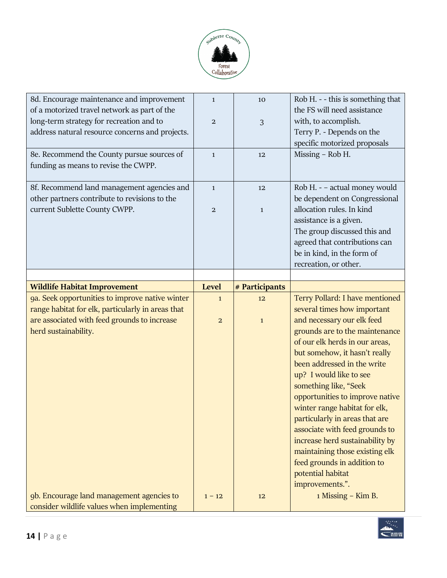

| 8d. Encourage maintenance and improvement<br>of a motorized travel network as part of the   | $\mathbf{1}$   | 10             | Rob H. - - this is something that<br>the FS will need assistance |
|---------------------------------------------------------------------------------------------|----------------|----------------|------------------------------------------------------------------|
| long-term strategy for recreation and to                                                    | $\mathbf{2}$   | 3              | with, to accomplish.                                             |
| address natural resource concerns and projects.                                             |                |                | Terry P. - Depends on the                                        |
|                                                                                             |                |                | specific motorized proposals                                     |
| 8e. Recommend the County pursue sources of                                                  | $\mathbf{1}$   | 12             | Missing - Rob H.                                                 |
| funding as means to revise the CWPP.                                                        |                |                |                                                                  |
| 8f. Recommend land management agencies and<br>other partners contribute to revisions to the | $\mathbf{1}$   | 12             | Rob H. - - actual money would<br>be dependent on Congressional   |
| current Sublette County CWPP.                                                               | $\overline{2}$ | $\mathbf{1}$   | allocation rules. In kind                                        |
|                                                                                             |                |                | assistance is a given.                                           |
|                                                                                             |                |                | The group discussed this and                                     |
|                                                                                             |                |                | agreed that contributions can                                    |
|                                                                                             |                |                | be in kind, in the form of                                       |
|                                                                                             |                |                | recreation, or other.                                            |
|                                                                                             |                |                |                                                                  |
| <b>Wildlife Habitat Improvement</b>                                                         | <b>Level</b>   | # Participants |                                                                  |
|                                                                                             | $\mathbf{1}$   | 12             | Terry Pollard: I have mentioned                                  |
| 9a. Seek opportunities to improve native winter                                             |                |                |                                                                  |
| range habitat for elk, particularly in areas that                                           |                |                | several times how important                                      |
| are associated with feed grounds to increase                                                | $\overline{a}$ | $\mathbf 1$    | and necessary our elk feed                                       |
| herd sustainability.                                                                        |                |                | grounds are to the maintenance                                   |
|                                                                                             |                |                | of our elk herds in our areas,                                   |
|                                                                                             |                |                | but somehow, it hasn't really                                    |
|                                                                                             |                |                | been addressed in the write                                      |
|                                                                                             |                |                | up? I would like to see                                          |
|                                                                                             |                |                | something like, "Seek                                            |
|                                                                                             |                |                | opportunities to improve native<br>winter range habitat for elk, |
|                                                                                             |                |                | particularly in areas that are                                   |
|                                                                                             |                |                | associate with feed grounds to                                   |
|                                                                                             |                |                | increase herd sustainability by                                  |
|                                                                                             |                |                | maintaining those existing elk                                   |
|                                                                                             |                |                | feed grounds in addition to                                      |
|                                                                                             |                |                | potential habitat                                                |
|                                                                                             |                |                | improvements.".                                                  |
| 9b. Encourage land management agencies to<br>consider wildlife values when implementing     | $1 - 12$       | 12             | 1 Missing - Kim B.                                               |

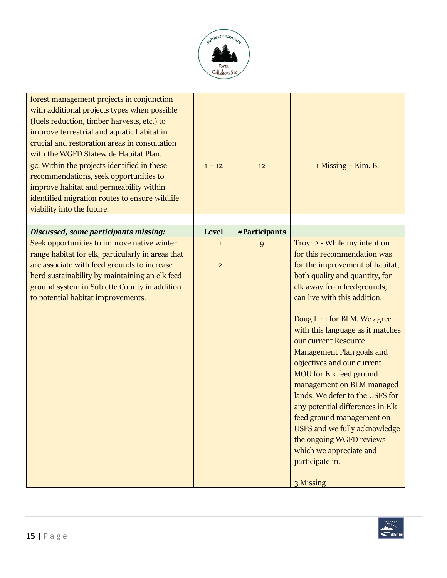

| forest management projects in conjunction<br>with additional projects types when possible<br>(fuels reduction, timber harvests, etc.) to<br>improve terrestrial and aquatic habitat in<br>crucial and restoration areas in consultation |                |               |                                                                |
|-----------------------------------------------------------------------------------------------------------------------------------------------------------------------------------------------------------------------------------------|----------------|---------------|----------------------------------------------------------------|
| with the WGFD Statewide Habitat Plan.                                                                                                                                                                                                   |                |               |                                                                |
| 9c. Within the projects identified in these<br>recommendations, seek opportunities to<br>improve habitat and permeability within<br>identified migration routes to ensure wildlife<br>viability into the future.                        | $1 - 12$       | 12            | 1 Missing – Kim. B.                                            |
|                                                                                                                                                                                                                                         |                |               |                                                                |
| Discussed, some participants missing:                                                                                                                                                                                                   | Level          | #Participants |                                                                |
| Seek opportunities to improve native winter                                                                                                                                                                                             | $\mathbf{1}$   | 9             | Troy: 2 - While my intention                                   |
| range habitat for elk, particularly in areas that<br>are associate with feed grounds to increase                                                                                                                                        |                |               | for this recommendation was<br>for the improvement of habitat, |
| herd sustainability by maintaining an elk feed                                                                                                                                                                                          | $\overline{2}$ | $\mathbf{1}$  | both quality and quantity, for                                 |
| ground system in Sublette County in addition                                                                                                                                                                                            |                |               | elk away from feedgrounds, I                                   |
| to potential habitat improvements.                                                                                                                                                                                                      |                |               | can live with this addition.                                   |
|                                                                                                                                                                                                                                         |                |               | Doug L.: 1 for BLM. We agree                                   |
|                                                                                                                                                                                                                                         |                |               | with this language as it matches<br>our current Resource       |
|                                                                                                                                                                                                                                         |                |               | Management Plan goals and                                      |
|                                                                                                                                                                                                                                         |                |               | objectives and our current                                     |
|                                                                                                                                                                                                                                         |                |               | <b>MOU</b> for Elk feed ground                                 |
|                                                                                                                                                                                                                                         |                |               | management on BLM managed                                      |
|                                                                                                                                                                                                                                         |                |               | lands. We defer to the USFS for                                |
|                                                                                                                                                                                                                                         |                |               | any potential differences in Elk<br>feed ground management on  |
|                                                                                                                                                                                                                                         |                |               | USFS and we fully acknowledge                                  |
|                                                                                                                                                                                                                                         |                |               | the ongoing WGFD reviews                                       |
|                                                                                                                                                                                                                                         |                |               | which we appreciate and                                        |
|                                                                                                                                                                                                                                         |                |               | participate in.                                                |
|                                                                                                                                                                                                                                         |                |               | 3 Missing                                                      |